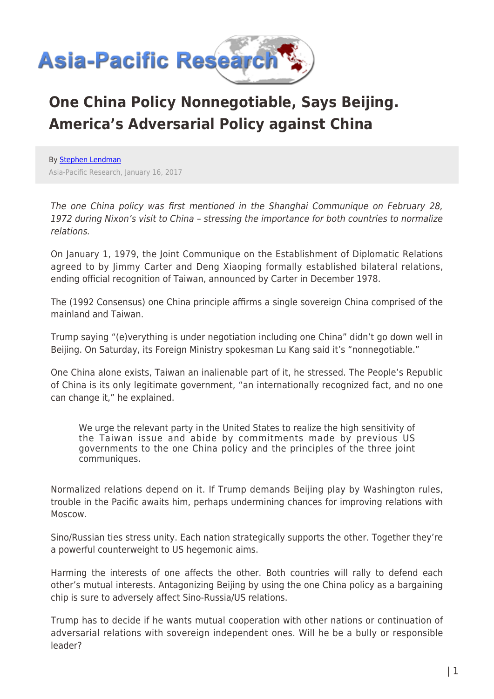

## **One China Policy Nonnegotiable, Says Beijing. America's Adversarial Policy against China**

By [Stephen Lendman](https://www.asia-pacificresearch.com/author/stephen-lendman) Asia-Pacific Research, January 16, 2017

The one China policy was first mentioned in the Shanghai Communique on February 28, 1972 during Nixon's visit to China – stressing the importance for both countries to normalize relations.

On January 1, 1979, the Joint Communique on the Establishment of Diplomatic Relations agreed to by Jimmy Carter and Deng Xiaoping formally established bilateral relations, ending official recognition of Taiwan, announced by Carter in December 1978.

The (1992 Consensus) one China principle affirms a single sovereign China comprised of the mainland and Taiwan.

Trump saying "(e)verything is under negotiation including one China" didn't go down well in Beijing. On Saturday, its Foreign Ministry spokesman Lu Kang said it's "nonnegotiable."

One China alone exists, Taiwan an inalienable part of it, he stressed. The People's Republic of China is its only legitimate government, "an internationally recognized fact, and no one can change it," he explained.

We urge the relevant party in the United States to realize the high sensitivity of the Taiwan issue and abide by commitments made by previous US governments to the one China policy and the principles of the three joint communiques.

Normalized relations depend on it. If Trump demands Beijing play by Washington rules, trouble in the Pacific awaits him, perhaps undermining chances for improving relations with Moscow.

Sino/Russian ties stress unity. Each nation strategically supports the other. Together they're a powerful counterweight to US hegemonic aims.

Harming the interests of one affects the other. Both countries will rally to defend each other's mutual interests. Antagonizing Beijing by using the one China policy as a bargaining chip is sure to adversely affect Sino-Russia/US relations.

Trump has to decide if he wants mutual cooperation with other nations or continuation of adversarial relations with sovereign independent ones. Will he be a bully or responsible leader?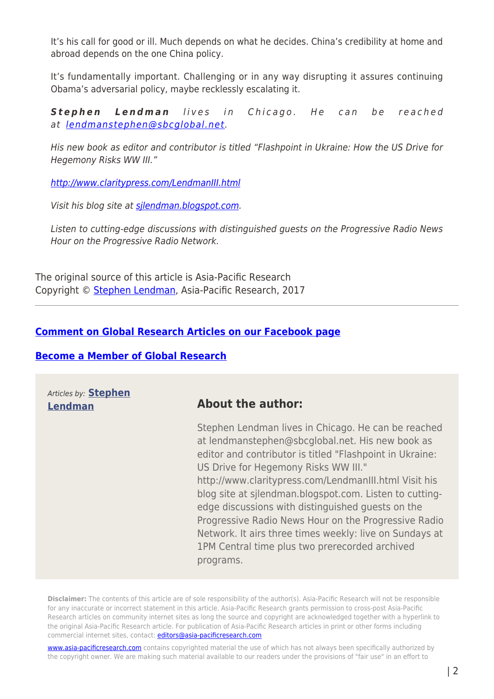It's his call for good or ill. Much depends on what he decides. China's credibility at home and abroad depends on the one China policy.

It's fundamentally important. Challenging or in any way disrupting it assures continuing Obama's adversarial policy, maybe recklessly escalating it.

*Stephen Lendman* lives in Chicago. He can be reached at [lendmanstephen@sbcglobal.net](mailto:lendmanstephen@sbcglobal.net).

His new book as editor and contributor is titled "Flashpoint in Ukraine: How the US Drive for Hegemony Risks WW III."

<http://www.claritypress.com/LendmanIII.html>

Visit his blog site at silendman.blogspot.com.

Listen to cutting-edge discussions with distinguished guests on the Progressive Radio News Hour on the Progressive Radio Network.

The original source of this article is Asia-Pacific Research Copyright © [Stephen Lendman,](https://www.asia-pacificresearch.com/author/stephen-lendman) Asia-Pacific Research, 2017

## **[Comment on Global Research Articles on our Facebook page](https://www.facebook.com/GlobalResearchCRG)**

## **[Become a Member of Global Research](https://store.globalresearch.ca/member/)**

Articles by: **[Stephen](https://www.asia-pacificresearch.com/author/stephen-lendman)**

## **[Lendman](https://www.asia-pacificresearch.com/author/stephen-lendman) About the author:**

Stephen Lendman lives in Chicago. He can be reached at lendmanstephen@sbcglobal.net. His new book as editor and contributor is titled "Flashpoint in Ukraine: US Drive for Hegemony Risks WW III." http://www.claritypress.com/LendmanIII.html Visit his blog site at sjlendman.blogspot.com. Listen to cuttingedge discussions with distinguished guests on the Progressive Radio News Hour on the Progressive Radio Network. It airs three times weekly: live on Sundays at 1PM Central time plus two prerecorded archived programs.

**Disclaimer:** The contents of this article are of sole responsibility of the author(s). Asia-Pacific Research will not be responsible for any inaccurate or incorrect statement in this article. Asia-Pacific Research grants permission to cross-post Asia-Pacific Research articles on community internet sites as long the source and copyright are acknowledged together with a hyperlink to the original Asia-Pacific Research article. For publication of Asia-Pacific Research articles in print or other forms including commercial internet sites, contact: [editors@asia-pacificresearch.com](mailto:editors@asia-pacificresearch.com)

[www.asia-pacificresearch.com](https://www.asia-pacificresearch.com) contains copyrighted material the use of which has not always been specifically authorized by the copyright owner. We are making such material available to our readers under the provisions of "fair use" in an effort to